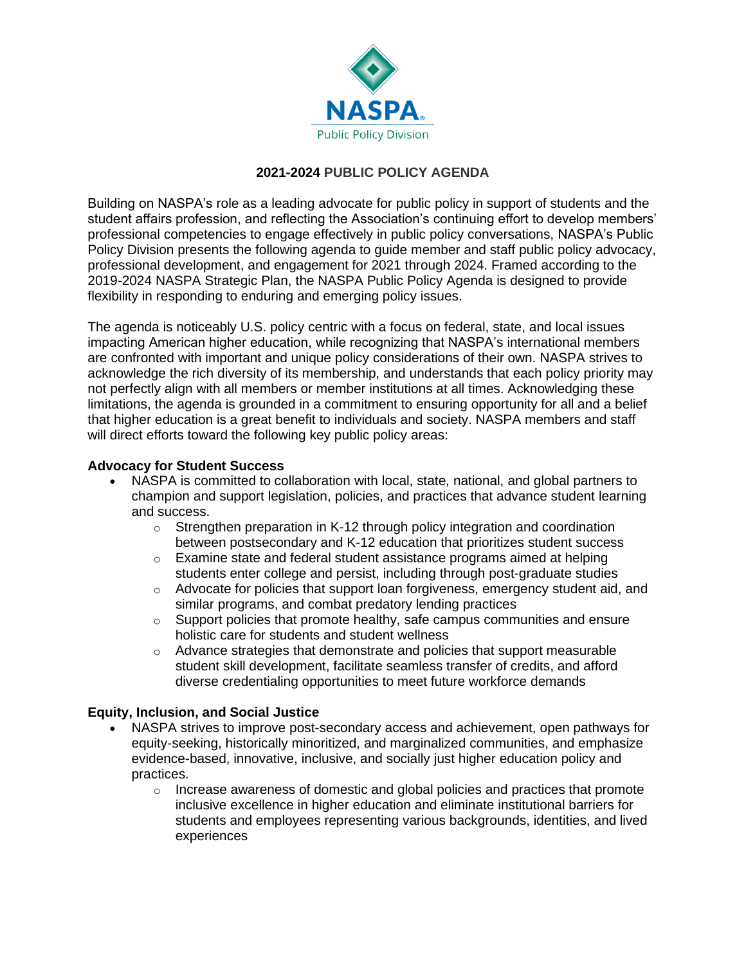

# **2021-2024 PUBLIC POLICY AGENDA**

Building on NASPA's role as a leading advocate for public policy in support of students and the student affairs profession, and reflecting the Association's continuing effort to develop members' professional competencies to engage effectively in public policy conversations, NASPA's Public Policy Division presents the following agenda to guide member and staff public policy advocacy, professional development, and engagement for 2021 through 2024. Framed according to the 2019-2024 NASPA Strategic Plan, the NASPA Public Policy Agenda is designed to provide flexibility in responding to enduring and emerging policy issues.

The agenda is noticeably U.S. policy centric with a focus on federal, state, and local issues impacting American higher education, while recognizing that NASPA's international members are confronted with important and unique policy considerations of their own. NASPA strives to acknowledge the rich diversity of its membership, and understands that each policy priority may not perfectly align with all members or member institutions at all times. Acknowledging these limitations, the agenda is grounded in a commitment to ensuring opportunity for all and a belief that higher education is a great benefit to individuals and society. NASPA members and staff will direct efforts toward the following key public policy areas:

### **Advocacy for Student Success**

- NASPA is committed to collaboration with local, state, national, and global partners to champion and support legislation, policies, and practices that advance student learning and success.
	- $\circ$  Strengthen preparation in K-12 through policy integration and coordination between postsecondary and K-12 education that prioritizes student success
	- o Examine state and federal student assistance programs aimed at helping students enter college and persist, including through post-graduate studies
	- $\circ$  Advocate for policies that support loan forgiveness, emergency student aid, and similar programs, and combat predatory lending practices
	- $\circ$  Support policies that promote healthy, safe campus communities and ensure holistic care for students and student wellness
	- $\circ$  Advance strategies that demonstrate and policies that support measurable student skill development, facilitate seamless transfer of credits, and afford diverse credentialing opportunities to meet future workforce demands

### **Equity, Inclusion, and Social Justice**

- NASPA strives to improve post-secondary access and achievement, open pathways for equity-seeking, historically minoritized, and marginalized communities, and emphasize evidence-based, innovative, inclusive, and socially just higher education policy and practices.
	- $\circ$  Increase awareness of domestic and global policies and practices that promote inclusive excellence in higher education and eliminate institutional barriers for students and employees representing various backgrounds, identities, and lived experiences